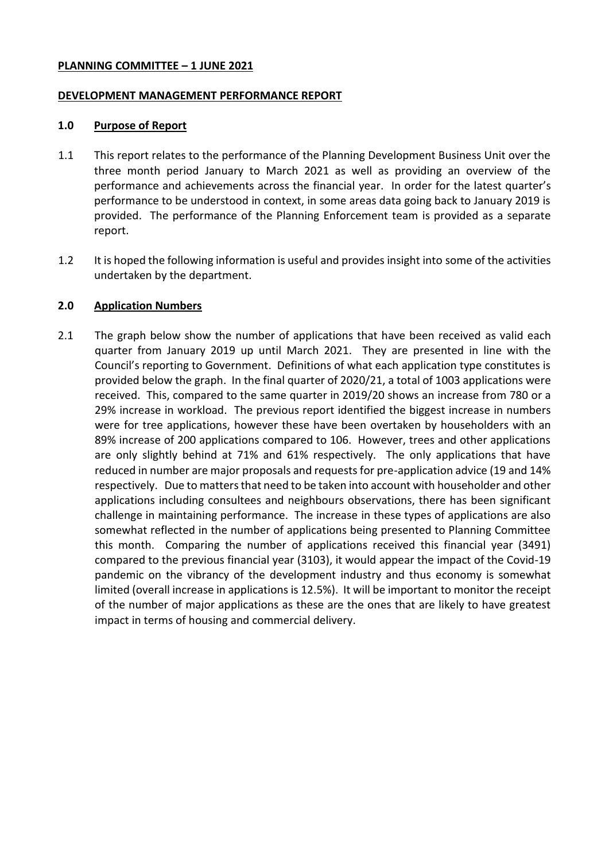#### **PLANNING COMMITTEE – 1 JUNE 2021**

#### **DEVELOPMENT MANAGEMENT PERFORMANCE REPORT**

#### **1.0 Purpose of Report**

- 1.1 This report relates to the performance of the Planning Development Business Unit over the three month period January to March 2021 as well as providing an overview of the performance and achievements across the financial year. In order for the latest quarter's performance to be understood in context, in some areas data going back to January 2019 is provided. The performance of the Planning Enforcement team is provided as a separate report.
- 1.2 It is hoped the following information is useful and provides insight into some of the activities undertaken by the department.

#### **2.0 Application Numbers**

2.1 The graph below show the number of applications that have been received as valid each quarter from January 2019 up until March 2021. They are presented in line with the Council's reporting to Government. Definitions of what each application type constitutes is provided below the graph. In the final quarter of 2020/21, a total of 1003 applications were received. This, compared to the same quarter in 2019/20 shows an increase from 780 or a 29% increase in workload. The previous report identified the biggest increase in numbers were for tree applications, however these have been overtaken by householders with an 89% increase of 200 applications compared to 106. However, trees and other applications are only slightly behind at 71% and 61% respectively. The only applications that have reduced in number are major proposals and requests for pre-application advice (19 and 14% respectively. Due to matters that need to be taken into account with householder and other applications including consultees and neighbours observations, there has been significant challenge in maintaining performance. The increase in these types of applications are also somewhat reflected in the number of applications being presented to Planning Committee this month. Comparing the number of applications received this financial year (3491) compared to the previous financial year (3103), it would appear the impact of the Covid-19 pandemic on the vibrancy of the development industry and thus economy is somewhat limited (overall increase in applications is 12.5%). It will be important to monitor the receipt of the number of major applications as these are the ones that are likely to have greatest impact in terms of housing and commercial delivery.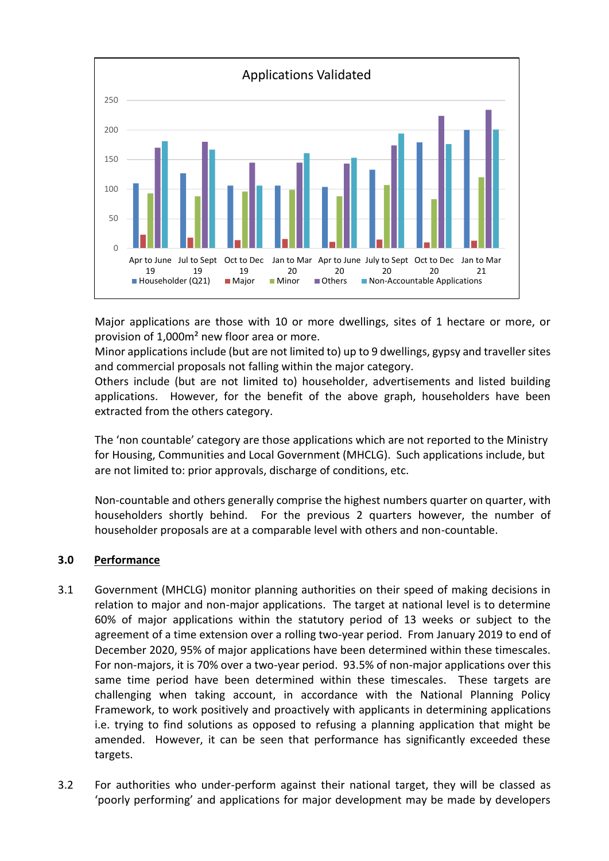

Major applications are those with 10 or more dwellings, sites of 1 hectare or more, or provision of 1,000m² new floor area or more.

Minor applications include (but are not limited to) up to 9 dwellings, gypsy and traveller sites and commercial proposals not falling within the major category.

Others include (but are not limited to) householder, advertisements and listed building applications. However, for the benefit of the above graph, householders have been extracted from the others category.

The 'non countable' category are those applications which are not reported to the Ministry for Housing, Communities and Local Government (MHCLG). Such applications include, but are not limited to: prior approvals, discharge of conditions, etc.

Non-countable and others generally comprise the highest numbers quarter on quarter, with householders shortly behind. For the previous 2 quarters however, the number of householder proposals are at a comparable level with others and non-countable.

## **3.0 Performance**

- 3.1 Government (MHCLG) monitor planning authorities on their speed of making decisions in relation to major and non-major applications. The target at national level is to determine 60% of major applications within the statutory period of 13 weeks or subject to the agreement of a time extension over a rolling two-year period. From January 2019 to end of December 2020, 95% of major applications have been determined within these timescales. For non-majors, it is 70% over a two-year period. 93.5% of non-major applications over this same time period have been determined within these timescales. These targets are challenging when taking account, in accordance with the National Planning Policy Framework, to work positively and proactively with applicants in determining applications i.e. trying to find solutions as opposed to refusing a planning application that might be amended. However, it can be seen that performance has significantly exceeded these targets.
- 3.2 For authorities who under-perform against their national target, they will be classed as 'poorly performing' and applications for major development may be made by developers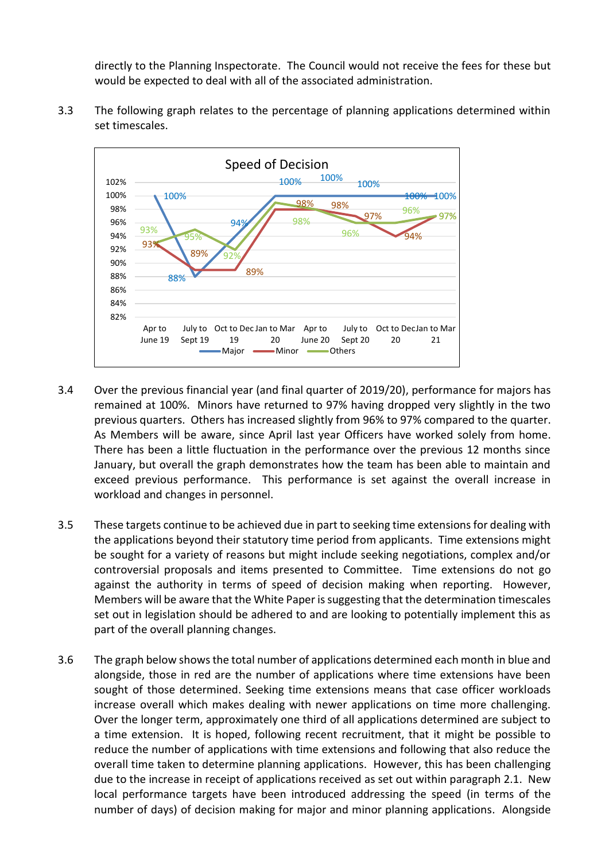directly to the Planning Inspectorate. The Council would not receive the fees for these but would be expected to deal with all of the associated administration.

3.3 The following graph relates to the percentage of planning applications determined within set timescales.



- 3.4 Over the previous financial year (and final quarter of 2019/20), performance for majors has remained at 100%. Minors have returned to 97% having dropped very slightly in the two previous quarters. Others has increased slightly from 96% to 97% compared to the quarter. As Members will be aware, since April last year Officers have worked solely from home. There has been a little fluctuation in the performance over the previous 12 months since January, but overall the graph demonstrates how the team has been able to maintain and exceed previous performance. This performance is set against the overall increase in workload and changes in personnel.
- 3.5 These targets continue to be achieved due in part to seeking time extensions for dealing with the applications beyond their statutory time period from applicants. Time extensions might be sought for a variety of reasons but might include seeking negotiations, complex and/or controversial proposals and items presented to Committee. Time extensions do not go against the authority in terms of speed of decision making when reporting. However, Members will be aware that the White Paper is suggesting that the determination timescales set out in legislation should be adhered to and are looking to potentially implement this as part of the overall planning changes.
- 3.6 The graph below shows the total number of applications determined each month in blue and alongside, those in red are the number of applications where time extensions have been sought of those determined. Seeking time extensions means that case officer workloads increase overall which makes dealing with newer applications on time more challenging. Over the longer term, approximately one third of all applications determined are subject to a time extension. It is hoped, following recent recruitment, that it might be possible to reduce the number of applications with time extensions and following that also reduce the overall time taken to determine planning applications. However, this has been challenging due to the increase in receipt of applications received as set out within paragraph 2.1. New local performance targets have been introduced addressing the speed (in terms of the number of days) of decision making for major and minor planning applications. Alongside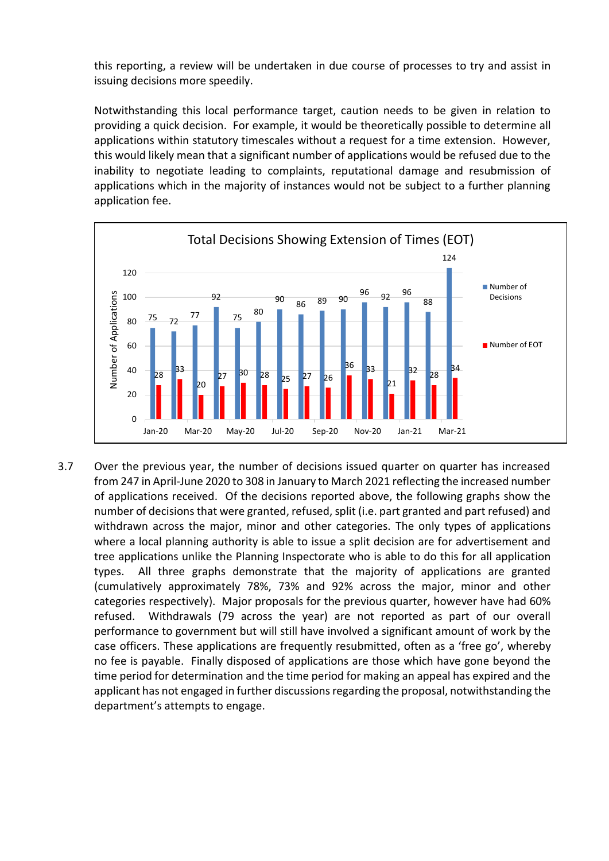this reporting, a review will be undertaken in due course of processes to try and assist in issuing decisions more speedily.

Notwithstanding this local performance target, caution needs to be given in relation to providing a quick decision. For example, it would be theoretically possible to determine all applications within statutory timescales without a request for a time extension. However, this would likely mean that a significant number of applications would be refused due to the inability to negotiate leading to complaints, reputational damage and resubmission of applications which in the majority of instances would not be subject to a further planning application fee.



3.7 Over the previous year, the number of decisions issued quarter on quarter has increased from 247 in April-June 2020 to 308 in January to March 2021 reflecting the increased number of applications received. Of the decisions reported above, the following graphs show the number of decisions that were granted, refused, split (i.e. part granted and part refused) and withdrawn across the major, minor and other categories. The only types of applications where a local planning authority is able to issue a split decision are for advertisement and tree applications unlike the Planning Inspectorate who is able to do this for all application types. All three graphs demonstrate that the majority of applications are granted (cumulatively approximately 78%, 73% and 92% across the major, minor and other categories respectively). Major proposals for the previous quarter, however have had 60% refused. Withdrawals (79 across the year) are not reported as part of our overall performance to government but will still have involved a significant amount of work by the case officers. These applications are frequently resubmitted, often as a 'free go', whereby no fee is payable. Finally disposed of applications are those which have gone beyond the time period for determination and the time period for making an appeal has expired and the applicant has not engaged in further discussions regarding the proposal, notwithstanding the department's attempts to engage.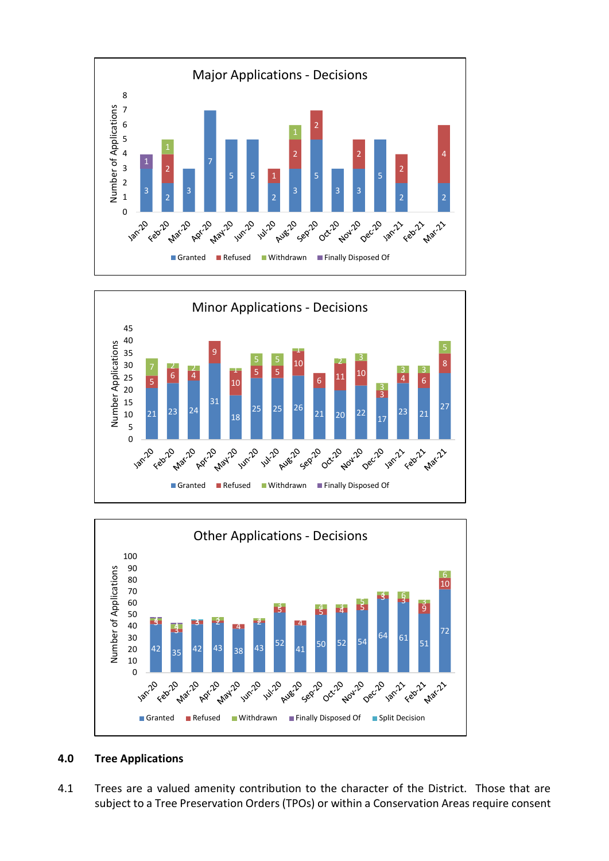





# **4.0 Tree Applications**

4.1 Trees are a valued amenity contribution to the character of the District. Those that are subject to a Tree Preservation Orders (TPOs) or within a Conservation Areas require consent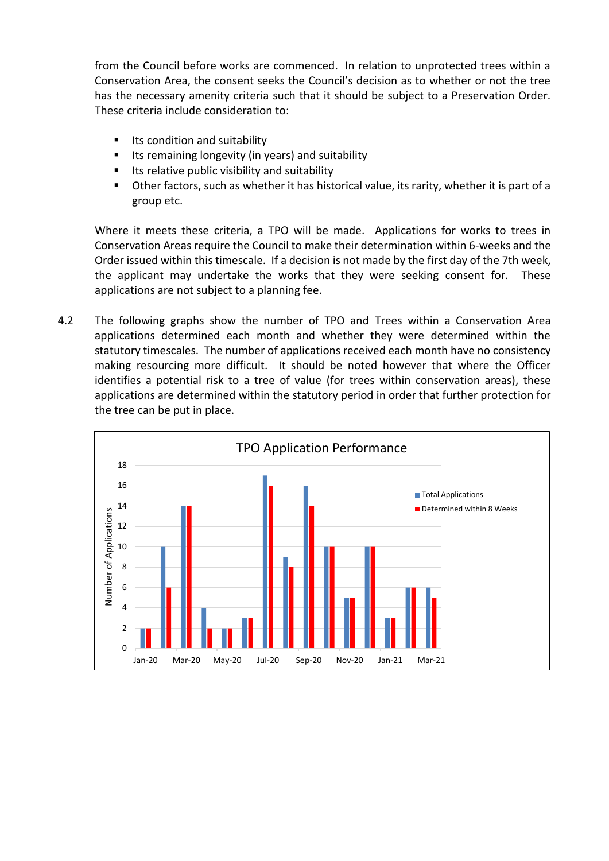from the Council before works are commenced. In relation to unprotected trees within a Conservation Area, the consent seeks the Council's decision as to whether or not the tree has the necessary amenity criteria such that it should be subject to a Preservation Order. These criteria include consideration to:

- Its condition and suitability
- Its remaining longevity (in years) and suitability
- Its relative public visibility and suitability
- Other factors, such as whether it has historical value, its rarity, whether it is part of a group etc.

Where it meets these criteria, a TPO will be made. Applications for works to trees in Conservation Areas require the Council to make their determination within 6-weeks and the Order issued within this timescale. If a decision is not made by the first day of the 7th week, the applicant may undertake the works that they were seeking consent for. These applications are not subject to a planning fee.

4.2 The following graphs show the number of TPO and Trees within a Conservation Area applications determined each month and whether they were determined within the statutory timescales. The number of applications received each month have no consistency making resourcing more difficult. It should be noted however that where the Officer identifies a potential risk to a tree of value (for trees within conservation areas), these applications are determined within the statutory period in order that further protection for the tree can be put in place.

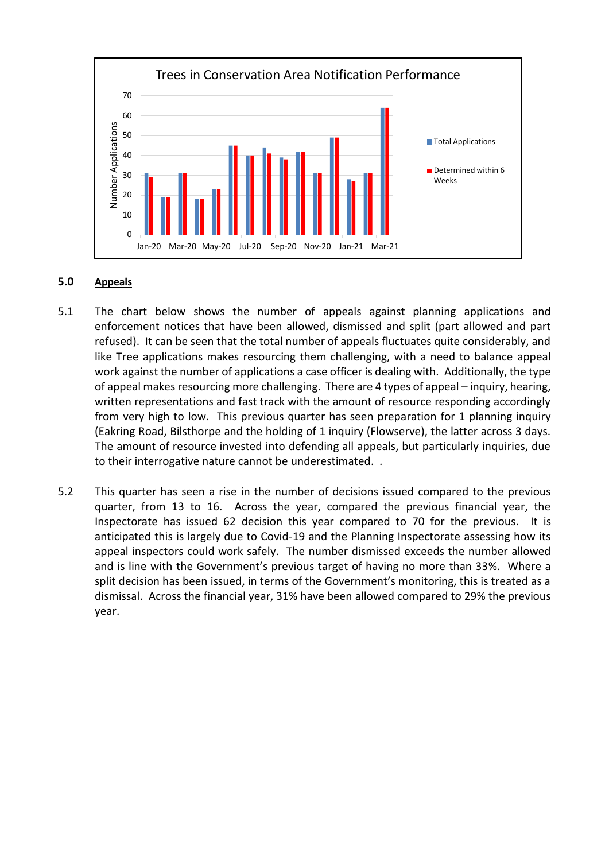

#### **5.0 Appeals**

- 5.1 The chart below shows the number of appeals against planning applications and enforcement notices that have been allowed, dismissed and split (part allowed and part refused). It can be seen that the total number of appeals fluctuates quite considerably, and like Tree applications makes resourcing them challenging, with a need to balance appeal work against the number of applications a case officer is dealing with. Additionally, the type of appeal makes resourcing more challenging. There are 4 types of appeal – inquiry, hearing, written representations and fast track with the amount of resource responding accordingly from very high to low. This previous quarter has seen preparation for 1 planning inquiry (Eakring Road, Bilsthorpe and the holding of 1 inquiry (Flowserve), the latter across 3 days. The amount of resource invested into defending all appeals, but particularly inquiries, due to their interrogative nature cannot be underestimated. .
- 5.2 This quarter has seen a rise in the number of decisions issued compared to the previous quarter, from 13 to 16. Across the year, compared the previous financial year, the Inspectorate has issued 62 decision this year compared to 70 for the previous. It is anticipated this is largely due to Covid-19 and the Planning Inspectorate assessing how its appeal inspectors could work safely. The number dismissed exceeds the number allowed and is line with the Government's previous target of having no more than 33%. Where a split decision has been issued, in terms of the Government's monitoring, this is treated as a dismissal. Across the financial year, 31% have been allowed compared to 29% the previous year.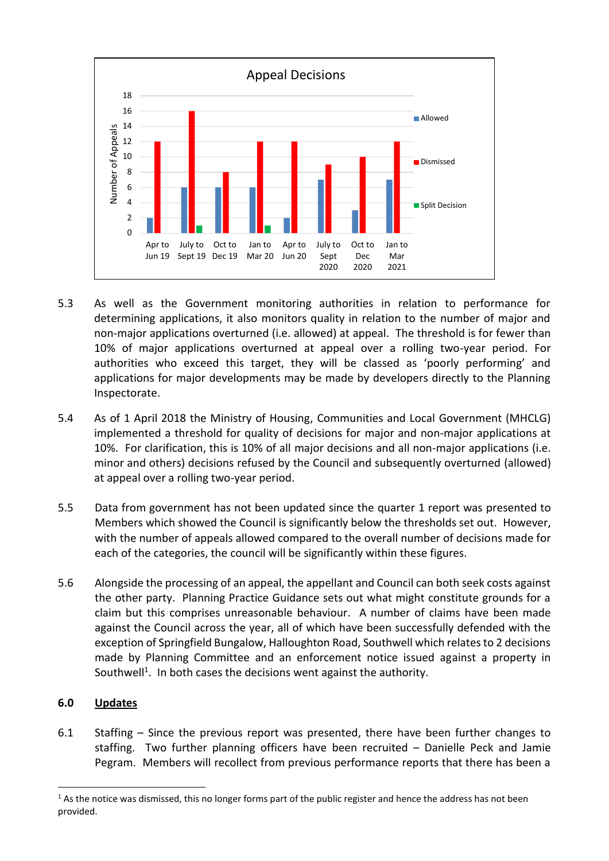

- 5.3 As well as the Government monitoring authorities in relation to performance for determining applications, it also monitors quality in relation to the number of major and non-major applications overturned (i.e. allowed) at appeal. The threshold is for fewer than 10% of major applications overturned at appeal over a rolling two-year period. For authorities who exceed this target, they will be classed as 'poorly performing' and applications for major developments may be made by developers directly to the Planning Inspectorate.
- 5.4 As of 1 April 2018 the Ministry of Housing, Communities and Local Government (MHCLG) implemented a threshold for quality of decisions for major and non-major applications at 10%. For clarification, this is 10% of all major decisions and all non-major applications (i.e. minor and others) decisions refused by the Council and subsequently overturned (allowed) at appeal over a rolling two-year period.
- 5.5 Data from government has not been updated since the quarter 1 report was presented to Members which showed the Council is significantly below the thresholds set out. However, with the number of appeals allowed compared to the overall number of decisions made for each of the categories, the council will be significantly within these figures.
- 5.6 Alongside the processing of an appeal, the appellant and Council can both seek costs against the other party. Planning Practice Guidance sets out what might constitute grounds for a claim but this comprises unreasonable behaviour. A number of claims have been made against the Council across the year, all of which have been successfully defended with the exception of Springfield Bungalow, Halloughton Road, Southwell which relates to 2 decisions made by Planning Committee and an enforcement notice issued against a property in Southwell<sup>1</sup>. In both cases the decisions went against the authority.

## **6.0 Updates**

1

6.1 Staffing – Since the previous report was presented, there have been further changes to staffing. Two further planning officers have been recruited – Danielle Peck and Jamie Pegram. Members will recollect from previous performance reports that there has been a

 $1$  As the notice was dismissed, this no longer forms part of the public register and hence the address has not been provided.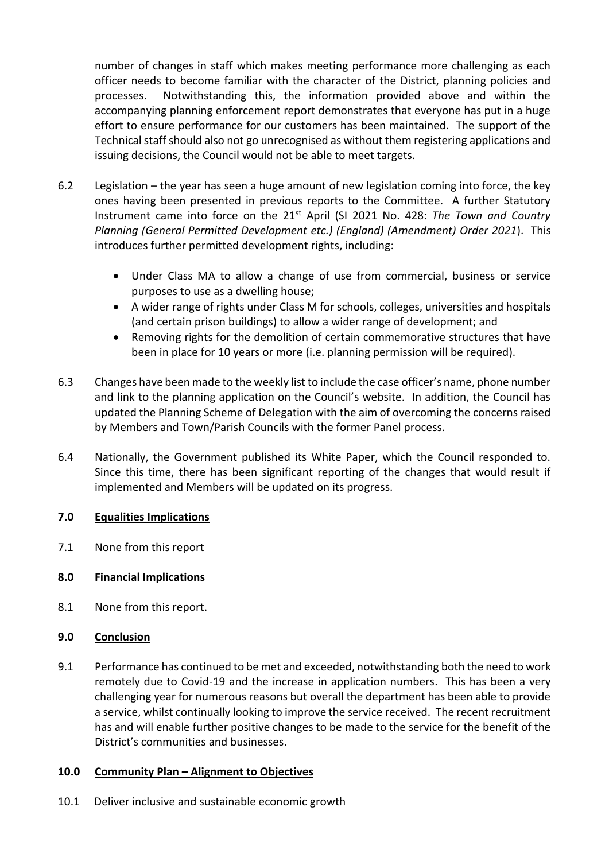number of changes in staff which makes meeting performance more challenging as each officer needs to become familiar with the character of the District, planning policies and processes. Notwithstanding this, the information provided above and within the accompanying planning enforcement report demonstrates that everyone has put in a huge effort to ensure performance for our customers has been maintained. The support of the Technical staff should also not go unrecognised as without them registering applications and issuing decisions, the Council would not be able to meet targets.

- 6.2 Legislation the year has seen a huge amount of new legislation coming into force, the key ones having been presented in previous reports to the Committee. A further Statutory Instrument came into force on the 21st April (SI 2021 No. 428: *The Town and Country Planning (General Permitted Development etc.) (England) (Amendment) Order 2021*). This introduces further permitted development rights, including:
	- Under Class MA to allow a change of use from commercial, business or service purposes to use as a dwelling house;
	- A wider range of rights under Class M for schools, colleges, universities and hospitals (and certain prison buildings) to allow a wider range of development; and
	- Removing rights for the demolition of certain commemorative structures that have been in place for 10 years or more (i.e. planning permission will be required).
- 6.3 Changes have been made to the weekly list to include the case officer's name, phone number and link to the planning application on the Council's website. In addition, the Council has updated the Planning Scheme of Delegation with the aim of overcoming the concerns raised by Members and Town/Parish Councils with the former Panel process.
- 6.4 Nationally, the Government published its White Paper, which the Council responded to. Since this time, there has been significant reporting of the changes that would result if implemented and Members will be updated on its progress.

## **7.0 Equalities Implications**

7.1 None from this report

## **8.0 Financial Implications**

8.1 None from this report.

## **9.0 Conclusion**

9.1 Performance has continued to be met and exceeded, notwithstanding both the need to work remotely due to Covid-19 and the increase in application numbers. This has been a very challenging year for numerous reasons but overall the department has been able to provide a service, whilst continually looking to improve the service received. The recent recruitment has and will enable further positive changes to be made to the service for the benefit of the District's communities and businesses.

## **10.0 Community Plan – Alignment to Objectives**

10.1 Deliver inclusive and sustainable economic growth